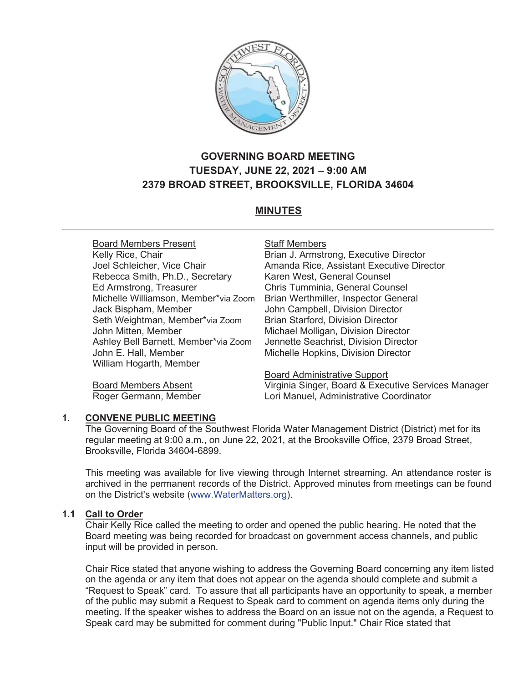

# **GOVERNING BOARD MEETING TUESDAY, JUNE 22, 2021 – 9:00 AM 2379 BROAD STREET, BROOKSVILLE, FLORIDA 34604**

# **MINUTES**

Board Members Present Kelly Rice, Chair Joel Schleicher, Vice Chair Rebecca Smith, Ph.D., Secretary Ed Armstrong, Treasurer Michelle Williamson, Member\*via Zoom Jack Bispham, Member Seth Weightman, Member\*via Zoom John Mitten, Member Ashley Bell Barnett, Member\*via Zoom John E. Hall, Member William Hogarth, Member

Staff Members Brian J. Armstrong, Executive Director Amanda Rice, Assistant Executive Director Karen West, General Counsel Chris Tumminia, General Counsel Brian Werthmiller, Inspector General John Campbell, Division Director Brian Starford, Division Director Michael Molligan, Division Director Jennette Seachrist, Division Director Michelle Hopkins, Division Director

Board Members Absent Roger Germann, Member

#### Board Administrative Support

Virginia Singer, Board & Executive Services Manager Lori Manuel, Administrative Coordinator

#### **1. CONVENE PUBLIC MEETING**

The Governing Board of the Southwest Florida Water Management District (District) met for its regular meeting at 9:00 a.m., on June 22, 2021, at the Brooksville Office, 2379 Broad Street, Brooksville, Florida 34604-6899.

This meeting was available for live viewing through Internet streaming. An attendance roster is archived in the permanent records of the District. Approved minutes from meetings can be found on the District's website (www.WaterMatters.org).

### **1.1 Call to Order**

Chair Kelly Rice called the meeting to order and opened the public hearing. He noted that the Board meeting was being recorded for broadcast on government access channels, and public input will be provided in person.

Chair Rice stated that anyone wishing to address the Governing Board concerning any item listed on the agenda or any item that does not appear on the agenda should complete and submit a "Request to Speak" card. To assure that all participants have an opportunity to speak, a member of the public may submit a Request to Speak card to comment on agenda items only during the meeting. If the speaker wishes to address the Board on an issue not on the agenda, a Request to Speak card may be submitted for comment during "Public Input." Chair Rice stated that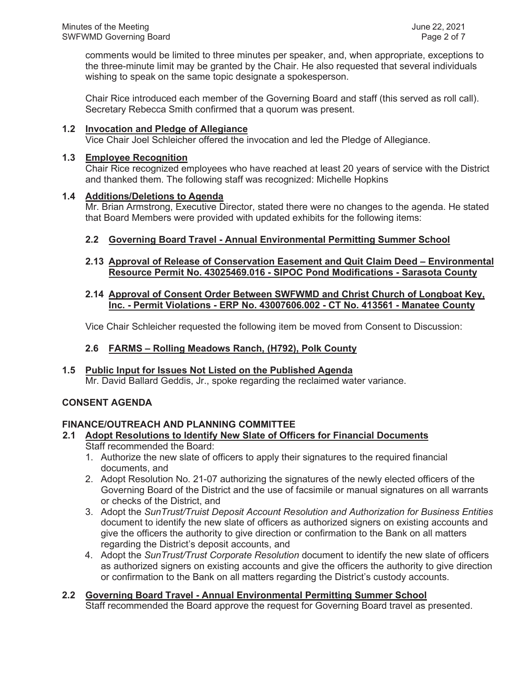comments would be limited to three minutes per speaker, and, when appropriate, exceptions to the three-minute limit may be granted by the Chair. He also requested that several individuals wishing to speak on the same topic designate a spokesperson.

Chair Rice introduced each member of the Governing Board and staff (this served as roll call). Secretary Rebecca Smith confirmed that a quorum was present.

### **1.2 Invocation and Pledge of Allegiance**

Vice Chair Joel Schleicher offered the invocation and led the Pledge of Allegiance.

#### **1.3 Employee Recognition**

Chair Rice recognized employees who have reached at least 20 years of service with the District and thanked them. The following staff was recognized: Michelle Hopkins

### **1.4 Additions/Deletions to Agenda**

Mr. Brian Armstrong, Executive Director, stated there were no changes to the agenda. He stated that Board Members were provided with updated exhibits for the following items:

# **2.2 Governing Board Travel - Annual Environmental Permitting Summer School**

### **2.13 Approval of Release of Conservation Easement and Quit Claim Deed – Environmental Resource Permit No. 43025469.016 - SIPOC Pond Modifications - Sarasota County**

### **2.14 Approval of Consent Order Between SWFWMD and Christ Church of Longboat Key, Inc. - Permit Violations - ERP No. 43007606.002 - CT No. 413561 - Manatee County**

Vice Chair Schleicher requested the following item be moved from Consent to Discussion:

# **2.6 FARMS – Rolling Meadows Ranch, (H792), Polk County**

#### **1.5 Public Input for Issues Not Listed on the Published Agenda** Mr. David Ballard Geddis, Jr., spoke regarding the reclaimed water variance.

# **CONSENT AGENDA**

### **FINANCE/OUTREACH AND PLANNING COMMITTEE**

# **2.1 Adopt Resolutions to Identify New Slate of Officers for Financial Documents**

- Staff recommended the Board:
- 1. Authorize the new slate of officers to apply their signatures to the required financial documents, and
- 2. Adopt Resolution No. 21-07 authorizing the signatures of the newly elected officers of the Governing Board of the District and the use of facsimile or manual signatures on all warrants or checks of the District, and
- 3. Adopt the *SunTrust/Truist Deposit Account Resolution and Authorization for Business Entities* document to identify the new slate of officers as authorized signers on existing accounts and give the officers the authority to give direction or confirmation to the Bank on all matters regarding the District's deposit accounts, and
- 4. Adopt the *SunTrust/Trust Corporate Resolution* document to identify the new slate of officers as authorized signers on existing accounts and give the officers the authority to give direction or confirmation to the Bank on all matters regarding the District's custody accounts.

# **2.2 Governing Board Travel - Annual Environmental Permitting Summer School**

Staff recommended the Board approve the request for Governing Board travel as presented.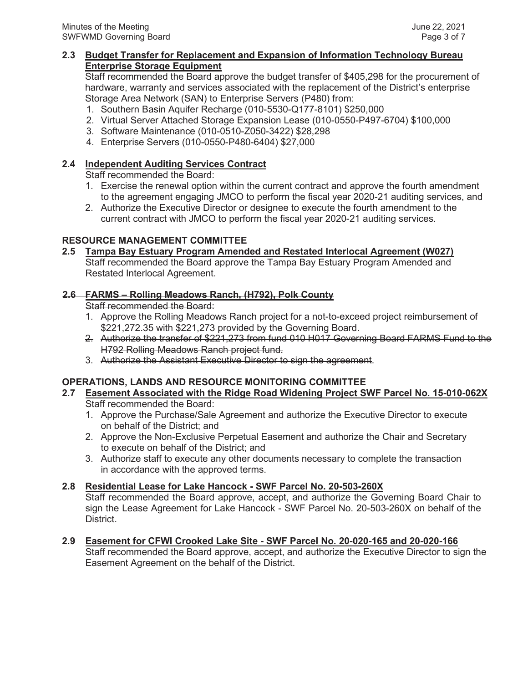### **2.3 Budget Transfer for Replacement and Expansion of Information Technology Bureau Enterprise Storage Equipment**

Staff recommended the Board approve the budget transfer of \$405,298 for the procurement of hardware, warranty and services associated with the replacement of the District's enterprise Storage Area Network (SAN) to Enterprise Servers (P480) from:

- 1. Southern Basin Aquifer Recharge (010-5530-Q177-8101) \$250,000
- 2. Virtual Server Attached Storage Expansion Lease (010-0550-P497-6704) \$100,000
- 3. Software Maintenance (010-0510-Z050-3422) \$28,298
- 4. Enterprise Servers (010-0550-P480-6404) \$27,000

# **2.4 Independent Auditing Services Contract**

Staff recommended the Board:

- 1. Exercise the renewal option within the current contract and approve the fourth amendment to the agreement engaging JMCO to perform the fiscal year 2020-21 auditing services, and
- 2. Authorize the Executive Director or designee to execute the fourth amendment to the current contract with JMCO to perform the fiscal year 2020-21 auditing services.

# **RESOURCE MANAGEMENT COMMITTEE**

# **2.5 Tampa Bay Estuary Program Amended and Restated Interlocal Agreement (W027)**

Staff recommended the Board approve the Tampa Bay Estuary Program Amended and Restated Interlocal Agreement.

# **2.6 FARMS – Rolling Meadows Ranch, (H792), Polk County**

Staff recommended the Board:

- 1. Approve the Rolling Meadows Ranch project for a not-to-exceed project reimbursement of \$221,272.35 with \$221,273 provided by the Governing Board.
- 2. Authorize the transfer of \$221,273 from fund 010 H017 Governing Board FARMS Fund to the H792 Rolling Meadows Ranch project fund.
- 3. Authorize the Assistant Executive Director to sign the agreement.

# **OPERATIONS, LANDS AND RESOURCE MONITORING COMMITTEE**

### **2.7 Easement Associated with the Ridge Road Widening Project SWF Parcel No. 15-010-062X** Staff recommended the Board:

- 1. Approve the Purchase/Sale Agreement and authorize the Executive Director to execute on behalf of the District; and
- 2. Approve the Non-Exclusive Perpetual Easement and authorize the Chair and Secretary to execute on behalf of the District; and
- 3. Authorize staff to execute any other documents necessary to complete the transaction in accordance with the approved terms.

# **2.8 Residential Lease for Lake Hancock - SWF Parcel No. 20-503-260X**

Staff recommended the Board approve, accept, and authorize the Governing Board Chair to sign the Lease Agreement for Lake Hancock - SWF Parcel No. 20-503-260X on behalf of the District.

**2.9 Easement for CFWI Crooked Lake Site - SWF Parcel No. 20-020-165 and 20-020-166** Staff recommended the Board approve, accept, and authorize the Executive Director to sign the Easement Agreement on the behalf of the District.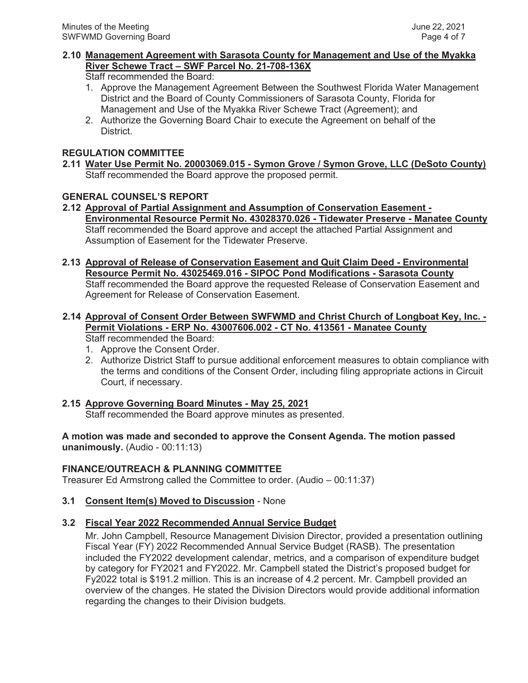# **2.10 Management Agreement with Sarasota County for Management and Use of the Myakka River Schewe Tract – SWF Parcel No. 21-708-136X**

Staff recommended the Board:

- 1. Approve the Management Agreement Between the Southwest Florida Water Management District and the Board of County Commissioners of Sarasota County, Florida for Management and Use of the Myakka River Schewe Tract (Agreement); and
- 2. Authorize the Governing Board Chair to execute the Agreement on behalf of the District.

# **REGULATION COMMITTEE**

# **2.11 Water Use Permit No. 20003069.015 - Symon Grove / Symon Grove, LLC (DeSoto County)**  Staff recommended the Board approve the proposed permit.

# **GENERAL COUNSEL'S REPORT**

# **2.12 Approval of Partial Assignment and Assumption of Conservation Easement - Environmental Resource Permit No. 43028370.026 - Tidewater Preserve - Manatee County**  Staff recommended the Board approve and accept the attached Partial Assignment and Assumption of Easement for the Tidewater Preserve.

**2.13 Approval of Release of Conservation Easement and Quit Claim Deed - Environmental Resource Permit No. 43025469.016 - SIPOC Pond Modifications - Sarasota County** Staff recommended the Board approve the requested Release of Conservation Easement and Agreement for Release of Conservation Easement.

#### **2.14 Approval of Consent Order Between SWFWMD and Christ Church of Longboat Key, Inc. - Permit Violations - ERP No. 43007606.002 - CT No. 413561 - Manatee County** Staff recommended the Board:

- 1. Approve the Consent Order.
- 2. Authorize District Staff to pursue additional enforcement measures to obtain compliance with the terms and conditions of the Consent Order, including filing appropriate actions in Circuit Court, if necessary.

# **2.15 Approve Governing Board Minutes - May 25, 2021**

Staff recommended the Board approve minutes as presented.

**A motion was made and seconded to approve the Consent Agenda. The motion passed unanimously.** (Audio - 00:11:13)

# **FINANCE/OUTREACH & PLANNING COMMITTEE**

Treasurer Ed Armstrong called the Committee to order. (Audio – 00:11:37)

# **3.1 Consent Item(s) Moved to Discussion** - None

# **3.2 Fiscal Year 2022 Recommended Annual Service Budget**

Mr. John Campbell, Resource Management Division Director, provided a presentation outlining Fiscal Year (FY) 2022 Recommended Annual Service Budget (RASB). The presentation included the FY2022 development calendar, metrics, and a comparison of expenditure budget by category for FY2021 and FY2022. Mr. Campbell stated the District's proposed budget for Fy2022 total is \$191.2 million. This is an increase of 4.2 percent. Mr. Campbell provided an overview of the changes. He stated the Division Directors would provide additional information regarding the changes to their Division budgets.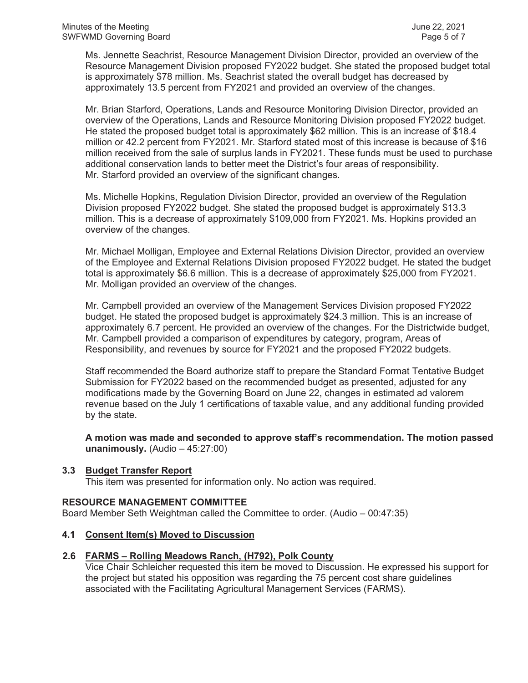Ms. Jennette Seachrist, Resource Management Division Director, provided an overview of the Resource Management Division proposed FY2022 budget. She stated the proposed budget total is approximately \$78 million. Ms. Seachrist stated the overall budget has decreased by approximately 13.5 percent from FY2021 and provided an overview of the changes.

Mr. Brian Starford, Operations, Lands and Resource Monitoring Division Director, provided an overview of the Operations, Lands and Resource Monitoring Division proposed FY2022 budget. He stated the proposed budget total is approximately \$62 million. This is an increase of \$18.4 million or 42.2 percent from FY2021. Mr. Starford stated most of this increase is because of \$16 million received from the sale of surplus lands in FY2021. These funds must be used to purchase additional conservation lands to better meet the District's four areas of responsibility. Mr. Starford provided an overview of the significant changes.

Ms. Michelle Hopkins, Regulation Division Director, provided an overview of the Regulation Division proposed FY2022 budget. She stated the proposed budget is approximately \$13.3 million. This is a decrease of approximately \$109,000 from FY2021. Ms. Hopkins provided an overview of the changes.

Mr. Michael Molligan, Employee and External Relations Division Director, provided an overview of the Employee and External Relations Division proposed FY2022 budget. He stated the budget total is approximately \$6.6 million. This is a decrease of approximately \$25,000 from FY2021. Mr. Molligan provided an overview of the changes.

Mr. Campbell provided an overview of the Management Services Division proposed FY2022 budget. He stated the proposed budget is approximately \$24.3 million. This is an increase of approximately 6.7 percent. He provided an overview of the changes. For the Districtwide budget, Mr. Campbell provided a comparison of expenditures by category, program, Areas of Responsibility, and revenues by source for FY2021 and the proposed FY2022 budgets.

Staff recommended the Board authorize staff to prepare the Standard Format Tentative Budget Submission for FY2022 based on the recommended budget as presented, adjusted for any modifications made by the Governing Board on June 22, changes in estimated ad valorem revenue based on the July 1 certifications of taxable value, and any additional funding provided by the state.

**A motion was made and seconded to approve staff's recommendation. The motion passed unanimously.** (Audio – 45:27:00)

#### **3.3 Budget Transfer Report**

This item was presented for information only. No action was required.

#### **RESOURCE MANAGEMENT COMMITTEE**

Board Member Seth Weightman called the Committee to order. (Audio – 00:47:35)

#### **4.1 Consent Item(s) Moved to Discussion**

# **2.6 FARMS – Rolling Meadows Ranch, (H792), Polk County**

Vice Chair Schleicher requested this item be moved to Discussion. He expressed his support for the project but stated his opposition was regarding the 75 percent cost share guidelines associated with the Facilitating Agricultural Management Services (FARMS).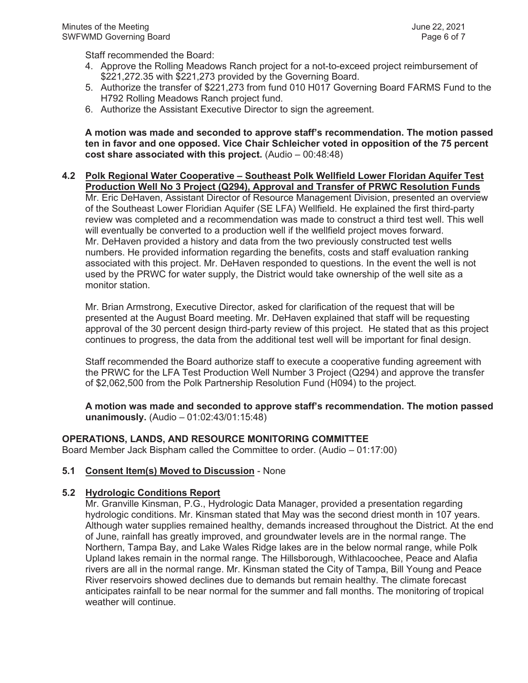Staff recommended the Board:

- 4. Approve the Rolling Meadows Ranch project for a not-to-exceed project reimbursement of \$221,272.35 with \$221,273 provided by the Governing Board.
- 5. Authorize the transfer of \$221,273 from fund 010 H017 Governing Board FARMS Fund to the H792 Rolling Meadows Ranch project fund.
- 6. Authorize the Assistant Executive Director to sign the agreement.

**A motion was made and seconded to approve staff's recommendation. The motion passed ten in favor and one opposed. Vice Chair Schleicher voted in opposition of the 75 percent cost share associated with this project.** (Audio – 00:48:48)

#### **4.2 Polk Regional Water Cooperative – Southeast Polk Wellfield Lower Floridan Aquifer Test Production Well No 3 Project (Q294), Approval and Transfer of PRWC Resolution Funds**

Mr. Eric DeHaven, Assistant Director of Resource Management Division, presented an overview of the Southeast Lower Floridian Aquifer (SE LFA) Wellfield. He explained the first third-party review was completed and a recommendation was made to construct a third test well. This well will eventually be converted to a production well if the wellfield project moves forward. Mr. DeHaven provided a history and data from the two previously constructed test wells numbers. He provided information regarding the benefits, costs and staff evaluation ranking associated with this project. Mr. DeHaven responded to questions. In the event the well is not used by the PRWC for water supply, the District would take ownership of the well site as a monitor station.

Mr. Brian Armstrong, Executive Director, asked for clarification of the request that will be presented at the August Board meeting. Mr. DeHaven explained that staff will be requesting approval of the 30 percent design third-party review of this project. He stated that as this project continues to progress, the data from the additional test well will be important for final design.

Staff recommended the Board authorize staff to execute a cooperative funding agreement with the PRWC for the LFA Test Production Well Number 3 Project (Q294) and approve the transfer of \$2,062,500 from the Polk Partnership Resolution Fund (H094) to the project.

**A motion was made and seconded to approve staff's recommendation. The motion passed unanimously.** (Audio – 01:02:43/01:15:48)

#### **OPERATIONS, LANDS, AND RESOURCE MONITORING COMMITTEE**

Board Member Jack Bispham called the Committee to order. (Audio – 01:17:00)

#### **5.1 Consent Item(s) Moved to Discussion** - None

#### **5.2 Hydrologic Conditions Report**

Mr. Granville Kinsman, P.G., Hydrologic Data Manager, provided a presentation regarding hydrologic conditions. Mr. Kinsman stated that May was the second driest month in 107 years. Although water supplies remained healthy, demands increased throughout the District. At the end of June, rainfall has greatly improved, and groundwater levels are in the normal range. The Northern, Tampa Bay, and Lake Wales Ridge lakes are in the below normal range, while Polk Upland lakes remain in the normal range. The Hillsborough, Withlacoochee, Peace and Alafia rivers are all in the normal range. Mr. Kinsman stated the City of Tampa, Bill Young and Peace River reservoirs showed declines due to demands but remain healthy. The climate forecast anticipates rainfall to be near normal for the summer and fall months. The monitoring of tropical weather will continue.